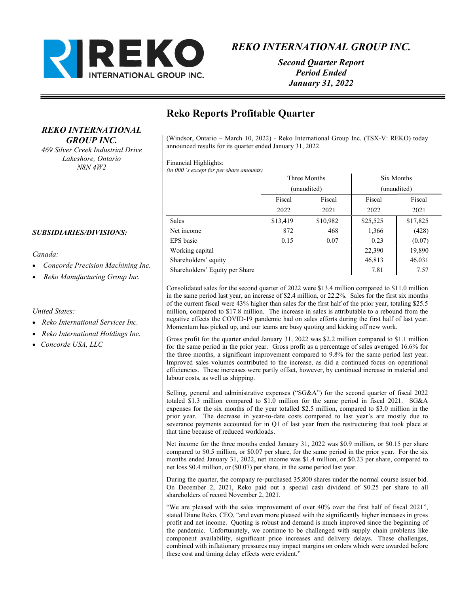

Second Quarter Report Period Ended January 31, 2022

# Reko Reports Profitable Quarter

(Windsor, Ontario – March 10, 2022) - Reko International Group Inc. (TSX-V: REKO) today announced results for its quarter ended January 31, 2022.

#### Financial Highlights:

(in 000 's except for per share amounts)

|                                | Three Months<br>(unaudited) |          | Six Months<br>(unaudited) |          |
|--------------------------------|-----------------------------|----------|---------------------------|----------|
|                                |                             |          |                           |          |
|                                | Fiscal                      | Fiscal   | Fiscal                    | Fiscal   |
|                                | 2022                        | 2021     | 2022                      | 2021     |
| Sales                          | \$13,419                    | \$10,982 | \$25,525                  | \$17,825 |
| Net income                     | 872                         | 468      | 1,366                     | (428)    |
| EPS basic                      | 0.15                        | 0.07     | 0.23                      | (0.07)   |
| Working capital                |                             |          | 22,390                    | 19,890   |
| Shareholders' equity           |                             |          | 46,813                    | 46,031   |
| Shareholders' Equity per Share |                             |          | 7.81                      | 7.57     |

Consolidated sales for the second quarter of 2022 were \$13.4 million compared to \$11.0 million in the same period last year, an increase of \$2.4 million, or 22.2%. Sales for the first six months of the current fiscal were 43% higher than sales for the first half of the prior year, totaling \$25.5 million, compared to \$17.8 million. The increase in sales is attributable to a rebound from the negative effects the COVID-19 pandemic had on sales efforts during the first half of last year. Momentum has picked up, and our teams are busy quoting and kicking off new work.

Gross profit for the quarter ended January 31, 2022 was \$2.2 million compared to \$1.1 million for the same period in the prior year. Gross profit as a percentage of sales averaged 16.6% for the three months, a significant improvement compared to 9.8% for the same period last year. Improved sales volumes contributed to the increase, as did a continued focus on operational efficiencies. These increases were partly offset, however, by continued increase in material and labour costs, as well as shipping.

Selling, general and administrative expenses ("SG&A") for the second quarter of fiscal 2022 totaled \$1.3 million compared to \$1.0 million for the same period in fiscal 2021. SG&A expenses for the six months of the year totalled \$2.5 million, compared to \$3.0 million in the prior year. The decrease in year-to-date costs compared to last year's are mostly due to severance payments accounted for in Q1 of last year from the restructuring that took place at that time because of reduced workloads.

Net income for the three months ended January 31, 2022 was \$0.9 million, or \$0.15 per share compared to \$0.5 million, or \$0.07 per share, for the same period in the prior year. For the six months ended January 31, 2022, net income was \$1.4 million, or \$0.23 per share, compared to net loss \$0.4 million, or (\$0.07) per share, in the same period last year.

During the quarter, the company re-purchased 35,800 shares under the normal course issuer bid. On December 2, 2021, Reko paid out a special cash dividend of \$0.25 per share to all shareholders of record November 2, 2021.

"We are pleased with the sales improvement of over 40% over the first half of fiscal 2021", stated Diane Reko, CEO, "and even more pleased with the significantly higher increases in gross profit and net income. Quoting is robust and demand is much improved since the beginning of the pandemic. Unfortunately, we continue to be challenged with supply chain problems like component availability, significant price increases and delivery delays. These challenges, combined with inflationary pressures may impact margins on orders which were awarded before these cost and timing delay effects were evident."

### SUBSIDIARIES/DIVISIONS:

### Canada:

Concorde Precision Machining Inc.

REKO INTERNATIONAL GROUP INC. 469 Silver Creek Industrial Drive Lakeshore, Ontario N8N 4W2

Reko Manufacturing Group Inc.

### United States:

- Reko International Services Inc.
- Reko International Holdings Inc.
- Concorde USA, LLC